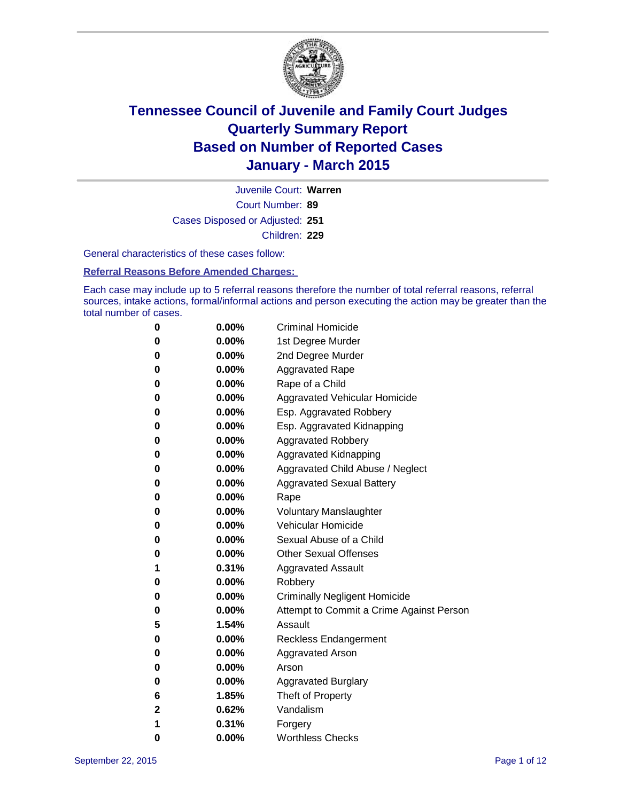

Court Number: **89** Juvenile Court: **Warren** Cases Disposed or Adjusted: **251** Children: **229**

General characteristics of these cases follow:

#### **Referral Reasons Before Amended Charges:**

Each case may include up to 5 referral reasons therefore the number of total referral reasons, referral sources, intake actions, formal/informal actions and person executing the action may be greater than the total number of cases.

| 0           | $0.00\%$ | <b>Criminal Homicide</b>                 |
|-------------|----------|------------------------------------------|
| 0           | $0.00\%$ | 1st Degree Murder                        |
| $\bf{0}$    | $0.00\%$ | 2nd Degree Murder                        |
| 0           | $0.00\%$ | <b>Aggravated Rape</b>                   |
| 0           | $0.00\%$ | Rape of a Child                          |
| 0           | $0.00\%$ | Aggravated Vehicular Homicide            |
| $\bf{0}$    | $0.00\%$ | Esp. Aggravated Robbery                  |
| 0           | $0.00\%$ | Esp. Aggravated Kidnapping               |
| $\bf{0}$    | $0.00\%$ | <b>Aggravated Robbery</b>                |
| $\bf{0}$    | $0.00\%$ | <b>Aggravated Kidnapping</b>             |
| 0           | 0.00%    | Aggravated Child Abuse / Neglect         |
| 0           | $0.00\%$ | <b>Aggravated Sexual Battery</b>         |
| $\bf{0}$    | $0.00\%$ | Rape                                     |
| 0           | $0.00\%$ | <b>Voluntary Manslaughter</b>            |
| 0           | $0.00\%$ | <b>Vehicular Homicide</b>                |
| $\bf{0}$    | $0.00\%$ | Sexual Abuse of a Child                  |
| $\bf{0}$    | $0.00\%$ | <b>Other Sexual Offenses</b>             |
| 1           | 0.31%    | <b>Aggravated Assault</b>                |
| $\bf{0}$    | $0.00\%$ | Robbery                                  |
| 0           | $0.00\%$ | <b>Criminally Negligent Homicide</b>     |
| 0           | $0.00\%$ | Attempt to Commit a Crime Against Person |
| 5           | 1.54%    | Assault                                  |
| $\bf{0}$    | 0.00%    | <b>Reckless Endangerment</b>             |
| 0           | $0.00\%$ | <b>Aggravated Arson</b>                  |
| 0           | $0.00\%$ | Arson                                    |
| 0           | $0.00\%$ | <b>Aggravated Burglary</b>               |
| 6           | 1.85%    | Theft of Property                        |
| $\mathbf 2$ | 0.62%    | Vandalism                                |
| 1           | 0.31%    | Forgery                                  |
| 0           | 0.00%    | <b>Worthless Checks</b>                  |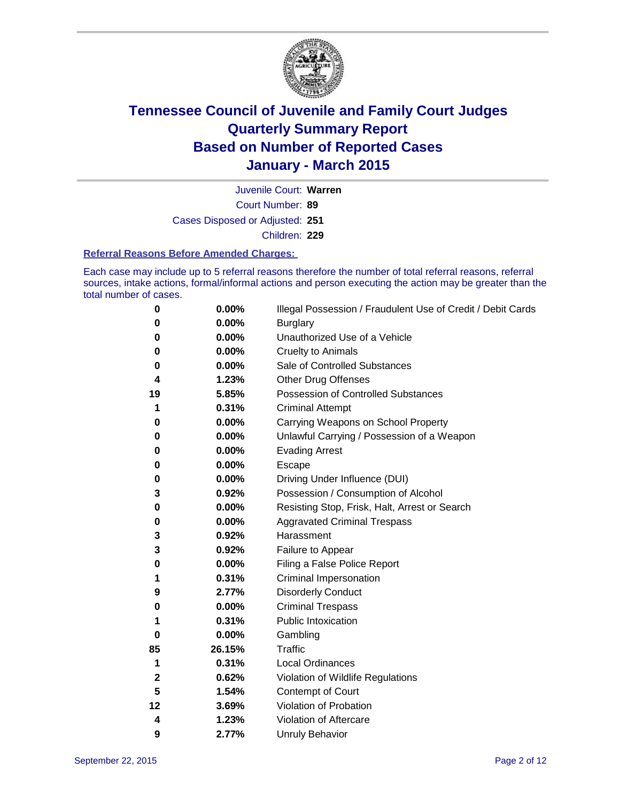

Court Number: **89** Juvenile Court: **Warren** Cases Disposed or Adjusted: **251** Children: **229**

#### **Referral Reasons Before Amended Charges:**

Each case may include up to 5 referral reasons therefore the number of total referral reasons, referral sources, intake actions, formal/informal actions and person executing the action may be greater than the total number of cases.

| 0            | 0.00%  | Illegal Possession / Fraudulent Use of Credit / Debit Cards |
|--------------|--------|-------------------------------------------------------------|
| 0            | 0.00%  | <b>Burglary</b>                                             |
| 0            | 0.00%  | Unauthorized Use of a Vehicle                               |
| 0            | 0.00%  | <b>Cruelty to Animals</b>                                   |
| 0            | 0.00%  | Sale of Controlled Substances                               |
| 4            | 1.23%  | <b>Other Drug Offenses</b>                                  |
| 19           | 5.85%  | Possession of Controlled Substances                         |
| 1            | 0.31%  | <b>Criminal Attempt</b>                                     |
| 0            | 0.00%  | Carrying Weapons on School Property                         |
| 0            | 0.00%  | Unlawful Carrying / Possession of a Weapon                  |
| 0            | 0.00%  | <b>Evading Arrest</b>                                       |
| 0            | 0.00%  | Escape                                                      |
| 0            | 0.00%  | Driving Under Influence (DUI)                               |
| 3            | 0.92%  | Possession / Consumption of Alcohol                         |
| 0            | 0.00%  | Resisting Stop, Frisk, Halt, Arrest or Search               |
| 0            | 0.00%  | <b>Aggravated Criminal Trespass</b>                         |
| 3            | 0.92%  | Harassment                                                  |
| 3            | 0.92%  | Failure to Appear                                           |
| 0            | 0.00%  | Filing a False Police Report                                |
| 1            | 0.31%  | Criminal Impersonation                                      |
| 9            | 2.77%  | <b>Disorderly Conduct</b>                                   |
| 0            | 0.00%  | <b>Criminal Trespass</b>                                    |
| 1            | 0.31%  | <b>Public Intoxication</b>                                  |
| 0            | 0.00%  | Gambling                                                    |
| 85           | 26.15% | Traffic                                                     |
| 1            | 0.31%  | <b>Local Ordinances</b>                                     |
| $\mathbf{2}$ | 0.62%  | Violation of Wildlife Regulations                           |
| 5            | 1.54%  | Contempt of Court                                           |
| 12           | 3.69%  | Violation of Probation                                      |
| 4            | 1.23%  | Violation of Aftercare                                      |
| 9            | 2.77%  | <b>Unruly Behavior</b>                                      |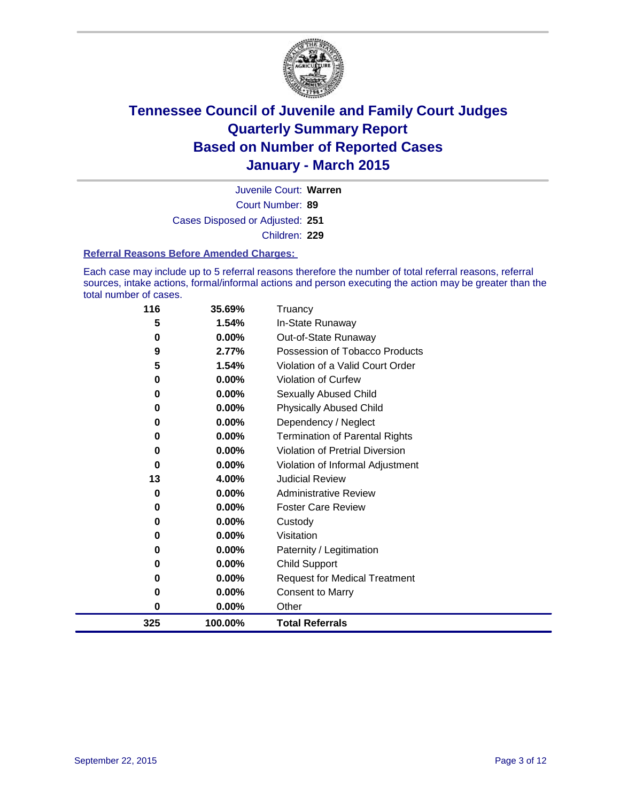

Court Number: **89** Juvenile Court: **Warren** Cases Disposed or Adjusted: **251** Children: **229**

#### **Referral Reasons Before Amended Charges:**

Each case may include up to 5 referral reasons therefore the number of total referral reasons, referral sources, intake actions, formal/informal actions and person executing the action may be greater than the total number of cases.

| 116 | 35.69%   | Truancy                                |  |
|-----|----------|----------------------------------------|--|
| 5   | 1.54%    | In-State Runaway                       |  |
| 0   | 0.00%    | Out-of-State Runaway                   |  |
| 9   | 2.77%    | Possession of Tobacco Products         |  |
| 5   | 1.54%    | Violation of a Valid Court Order       |  |
| 0   | 0.00%    | <b>Violation of Curfew</b>             |  |
| 0   | 0.00%    | Sexually Abused Child                  |  |
| 0   | 0.00%    | <b>Physically Abused Child</b>         |  |
| 0   | 0.00%    | Dependency / Neglect                   |  |
| 0   | 0.00%    | <b>Termination of Parental Rights</b>  |  |
| 0   | 0.00%    | <b>Violation of Pretrial Diversion</b> |  |
| 0   | 0.00%    | Violation of Informal Adjustment       |  |
| 13  | 4.00%    | <b>Judicial Review</b>                 |  |
| 0   | 0.00%    | <b>Administrative Review</b>           |  |
| 0   | 0.00%    | <b>Foster Care Review</b>              |  |
| 0   | 0.00%    | Custody                                |  |
| 0   | 0.00%    | Visitation                             |  |
| 0   | 0.00%    | Paternity / Legitimation               |  |
| 0   | $0.00\%$ | <b>Child Support</b>                   |  |
| 0   | 0.00%    | <b>Request for Medical Treatment</b>   |  |
| 0   | 0.00%    | <b>Consent to Marry</b>                |  |
| 0   | 0.00%    | Other                                  |  |
| 325 | 100.00%  | <b>Total Referrals</b>                 |  |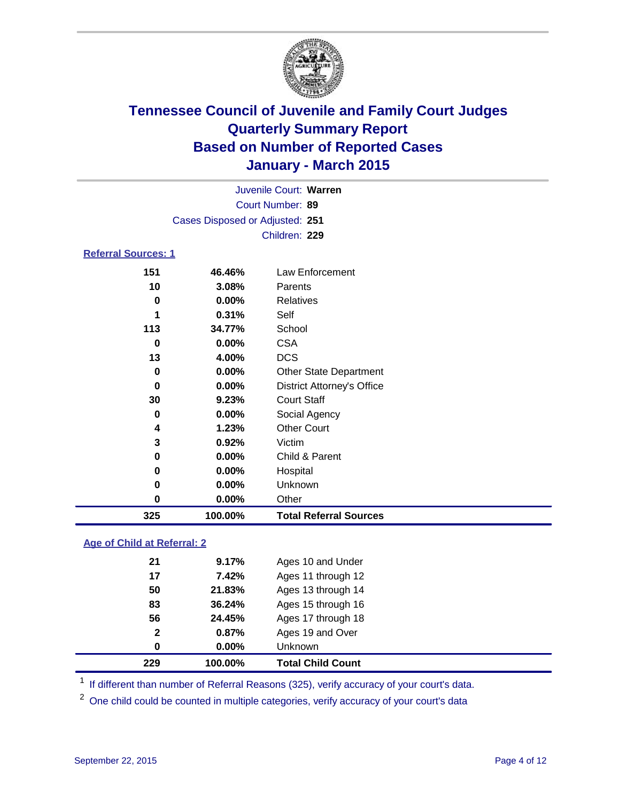

| Juvenile Court: Warren     |                                 |                  |  |  |  |  |
|----------------------------|---------------------------------|------------------|--|--|--|--|
|                            | Court Number: 89                |                  |  |  |  |  |
|                            | Cases Disposed or Adjusted: 251 |                  |  |  |  |  |
|                            |                                 | Children: 229    |  |  |  |  |
| <b>Referral Sources: 1</b> |                                 |                  |  |  |  |  |
| 151                        | 46.46%                          | Law Enforcement  |  |  |  |  |
| 10                         | 3.08%                           | Parents          |  |  |  |  |
| 0                          | $0.00\%$                        | <b>Relatives</b> |  |  |  |  |

| 325 | 100.00%       | <b>Total Referral Sources</b>     |  |
|-----|---------------|-----------------------------------|--|
| 0   | 0.00%         | Other                             |  |
| 0   | $0.00\%$      | Unknown                           |  |
| 0   | 0.00%         | Hospital                          |  |
| 0   | 0.00%         | Child & Parent                    |  |
| 3   | 0.92%         | Victim                            |  |
| 4   | 1.23%         | <b>Other Court</b>                |  |
| 0   | 0.00%         | Social Agency                     |  |
| 30  | 9.23%         | <b>Court Staff</b>                |  |
| 0   | 0.00%         | <b>District Attorney's Office</b> |  |
| 0   | 0.00%         | <b>Other State Department</b>     |  |
| 13  | 4.00%         | <b>DCS</b>                        |  |
| 0   | 0.00%         | <b>CSA</b>                        |  |
| 113 | 34.77%        | School                            |  |
|     | 0.31%         | Self                              |  |
| ν   | <b>U.UU70</b> | Relatives                         |  |

### **Age of Child at Referral: 2**

| 229            | 100.00%  | <b>Total Child Count</b> |
|----------------|----------|--------------------------|
| 0              | $0.00\%$ | <b>Unknown</b>           |
| $\overline{2}$ | 0.87%    | Ages 19 and Over         |
| 56             | 24.45%   | Ages 17 through 18       |
| 83             | 36.24%   | Ages 15 through 16       |
| 50             | 21.83%   | Ages 13 through 14       |
| 17             | 7.42%    | Ages 11 through 12       |
| 21             | 9.17%    | Ages 10 and Under        |
|                |          |                          |

<sup>1</sup> If different than number of Referral Reasons (325), verify accuracy of your court's data.

One child could be counted in multiple categories, verify accuracy of your court's data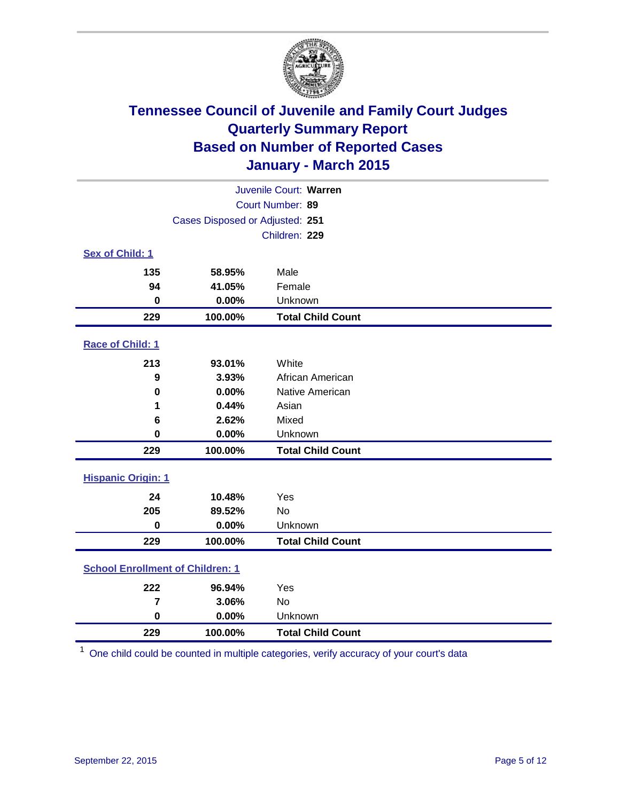

| Juvenile Court: Warren                  |                                 |                          |  |  |  |  |
|-----------------------------------------|---------------------------------|--------------------------|--|--|--|--|
| Court Number: 89                        |                                 |                          |  |  |  |  |
|                                         | Cases Disposed or Adjusted: 251 |                          |  |  |  |  |
|                                         |                                 | Children: 229            |  |  |  |  |
| <b>Sex of Child: 1</b>                  |                                 |                          |  |  |  |  |
| 135                                     | 58.95%                          | Male                     |  |  |  |  |
| 94                                      | 41.05%                          | Female                   |  |  |  |  |
| $\bf{0}$                                | 0.00%                           | Unknown                  |  |  |  |  |
| 229                                     | 100.00%                         | <b>Total Child Count</b> |  |  |  |  |
| Race of Child: 1                        |                                 |                          |  |  |  |  |
| 213                                     | 93.01%                          | White                    |  |  |  |  |
| 9                                       | 3.93%                           | African American         |  |  |  |  |
| 0                                       | 0.00%                           | Native American          |  |  |  |  |
| 1                                       | 0.44%                           | Asian                    |  |  |  |  |
| 6                                       | 2.62%                           | Mixed                    |  |  |  |  |
| $\bf{0}$                                | 0.00%                           | Unknown                  |  |  |  |  |
| 229                                     | 100.00%                         | <b>Total Child Count</b> |  |  |  |  |
| <b>Hispanic Origin: 1</b>               |                                 |                          |  |  |  |  |
| 24                                      | 10.48%                          | Yes                      |  |  |  |  |
| 205                                     | 89.52%                          | No                       |  |  |  |  |
| 0                                       | 0.00%                           | Unknown                  |  |  |  |  |
| 229                                     | 100.00%                         | <b>Total Child Count</b> |  |  |  |  |
| <b>School Enrollment of Children: 1</b> |                                 |                          |  |  |  |  |
| 222                                     | 96.94%                          | Yes                      |  |  |  |  |
| 7                                       | 3.06%                           | No                       |  |  |  |  |
| $\mathbf 0$                             | 0.00%                           | Unknown                  |  |  |  |  |
| 229                                     | 100.00%                         | <b>Total Child Count</b> |  |  |  |  |

One child could be counted in multiple categories, verify accuracy of your court's data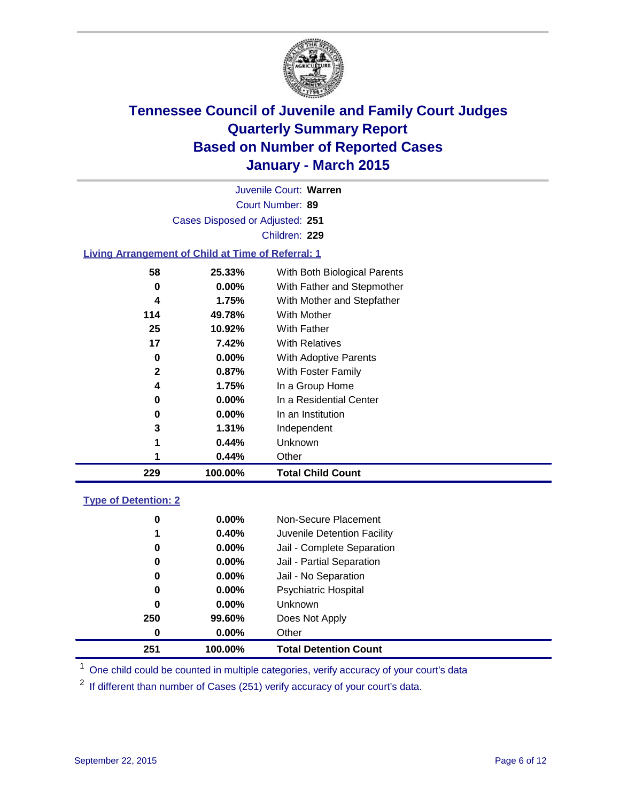

| Juvenile Court: Warren                             |                                        |                              |  |  |  |  |  |
|----------------------------------------------------|----------------------------------------|------------------------------|--|--|--|--|--|
| Court Number: 89                                   |                                        |                              |  |  |  |  |  |
|                                                    | Cases Disposed or Adjusted: 251        |                              |  |  |  |  |  |
|                                                    |                                        | Children: 229                |  |  |  |  |  |
| Living Arrangement of Child at Time of Referral: 1 |                                        |                              |  |  |  |  |  |
| 58                                                 | With Both Biological Parents<br>25.33% |                              |  |  |  |  |  |
| $0.00\%$<br>With Father and Stepmother<br>0        |                                        |                              |  |  |  |  |  |
| With Mother and Stepfather<br>1.75%<br>4           |                                        |                              |  |  |  |  |  |
| 114                                                | 49.78%<br>With Mother                  |                              |  |  |  |  |  |
| 25<br>10.92%<br>With Father                        |                                        |                              |  |  |  |  |  |
| 17                                                 | 7.42%                                  | <b>With Relatives</b>        |  |  |  |  |  |
| 0                                                  | $0.00\%$                               | <b>With Adoptive Parents</b> |  |  |  |  |  |

 **0.87%** With Foster Family **1.75%** In a Group Home **0.00%** In a Residential Center

 **0.00%** In an Institution **1.31%** Independent **0.44%** Unknown **0.44%** Other

**100.00% Total Child Count**

### **Type of Detention: 2**

| 251      | 100.00%  | <b>Total Detention Count</b> |
|----------|----------|------------------------------|
| $\bf{0}$ | $0.00\%$ | Other                        |
| 250      | 99.60%   | Does Not Apply               |
| 0        | $0.00\%$ | <b>Unknown</b>               |
| 0        | $0.00\%$ | <b>Psychiatric Hospital</b>  |
| 0        | 0.00%    | Jail - No Separation         |
| 0        | 0.00%    | Jail - Partial Separation    |
| 0        | 0.00%    | Jail - Complete Separation   |
| 1        | 0.40%    | Juvenile Detention Facility  |
| 0        | $0.00\%$ | Non-Secure Placement         |
|          |          |                              |

<sup>1</sup> One child could be counted in multiple categories, verify accuracy of your court's data

If different than number of Cases (251) verify accuracy of your court's data.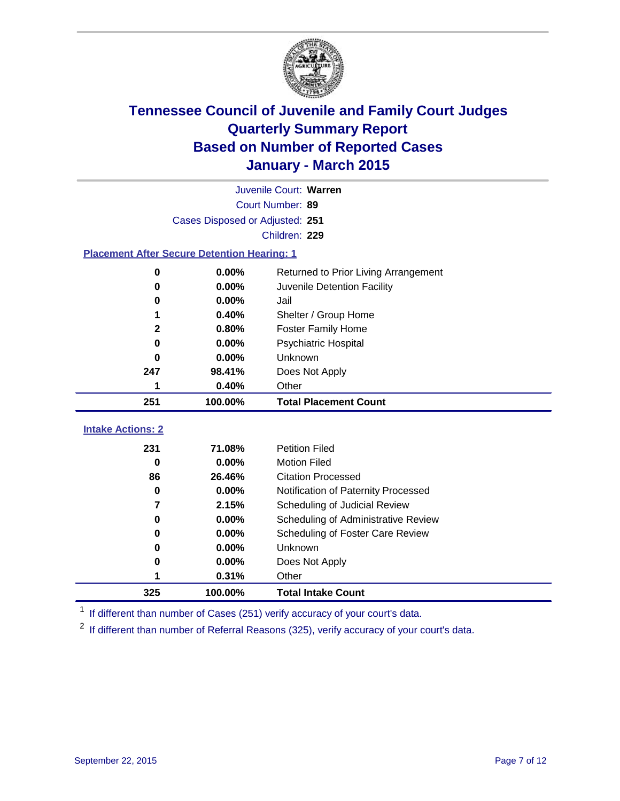

|                                                    |                          | Juvenile Court: Warren               |  |  |  |
|----------------------------------------------------|--------------------------|--------------------------------------|--|--|--|
|                                                    | Court Number: 89         |                                      |  |  |  |
| Cases Disposed or Adjusted: 251                    |                          |                                      |  |  |  |
|                                                    |                          | Children: 229                        |  |  |  |
| <b>Placement After Secure Detention Hearing: 1</b> |                          |                                      |  |  |  |
| 0                                                  | 0.00%                    | Returned to Prior Living Arrangement |  |  |  |
| 0                                                  | 0.00%                    | Juvenile Detention Facility          |  |  |  |
| 0                                                  | 0.00%                    | Jail                                 |  |  |  |
| 1                                                  | 0.40%                    | Shelter / Group Home                 |  |  |  |
| $\mathbf 2$                                        | 0.80%                    | <b>Foster Family Home</b>            |  |  |  |
| 0                                                  | 0.00%                    | <b>Psychiatric Hospital</b>          |  |  |  |
| 0                                                  | 0.00%                    | Unknown                              |  |  |  |
| 247                                                | 98.41%<br>Does Not Apply |                                      |  |  |  |
| 1                                                  | 0.40%<br>Other           |                                      |  |  |  |
| 251                                                | 100.00%                  | <b>Total Placement Count</b>         |  |  |  |
| <b>Intake Actions: 2</b>                           |                          |                                      |  |  |  |
| 231                                                | 71.08%                   | <b>Petition Filed</b>                |  |  |  |
| $\bf{0}$                                           | 0.00%                    | <b>Motion Filed</b>                  |  |  |  |
| 86                                                 | 26.46%                   | <b>Citation Processed</b>            |  |  |  |
| 0                                                  | 0.00%                    | Notification of Paternity Processed  |  |  |  |
| 7                                                  | 2.15%                    | Scheduling of Judicial Review        |  |  |  |
| 0                                                  | 0.00%                    | Scheduling of Administrative Review  |  |  |  |
| 0                                                  | 0.00%                    | Scheduling of Foster Care Review     |  |  |  |
| 0                                                  | 0.00%                    | Unknown                              |  |  |  |
| 0                                                  | 0.00%                    | Does Not Apply                       |  |  |  |
| 1                                                  | 0.31%                    | Other                                |  |  |  |
| 325                                                | 100.00%                  | <b>Total Intake Count</b>            |  |  |  |

<sup>1</sup> If different than number of Cases (251) verify accuracy of your court's data.

If different than number of Referral Reasons (325), verify accuracy of your court's data.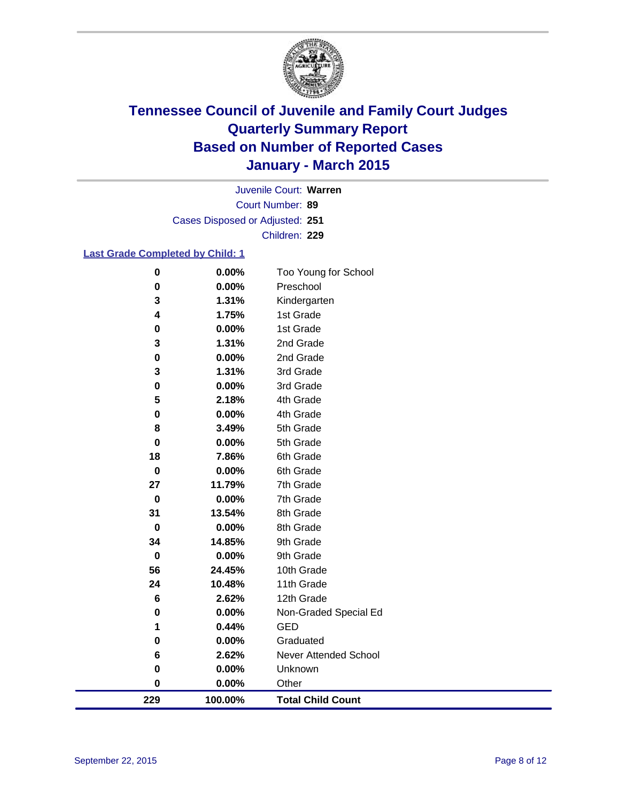

Court Number: **89** Juvenile Court: **Warren** Cases Disposed or Adjusted: **251** Children: **229**

### **Last Grade Completed by Child: 1**

| 229            | 100.00%        | <b>Total Child Count</b> |
|----------------|----------------|--------------------------|
| $\bf{0}$       | 0.00%          | Other                    |
| 0              | 0.00%          | Unknown                  |
| 6              | 2.62%          | Never Attended School    |
| 0              | 0.00%          | Graduated                |
| 1              | 0.44%          | <b>GED</b>               |
| 0              | 0.00%          | Non-Graded Special Ed    |
| 6              | 2.62%          | 12th Grade               |
| 24             | 10.48%         | 11th Grade               |
| 56             | 24.45%         | 10th Grade               |
| $\bf{0}$       | 0.00%          | 9th Grade                |
| 34             | 14.85%         | 9th Grade                |
| $\bf{0}$       | 0.00%          | 8th Grade                |
| 31             | 13.54%         | 8th Grade                |
| $\bf{0}$       | 0.00%          | 7th Grade                |
| 27             | 11.79%         | 7th Grade                |
| 18<br>$\bf{0}$ | 7.86%<br>0.00% | 6th Grade<br>6th Grade   |
| $\bf{0}$       | 0.00%          | 5th Grade                |
| 8              | 3.49%          | 5th Grade                |
| 0              | 0.00%          | 4th Grade                |
| 5              | 2.18%          | 4th Grade                |
| 0              | 0.00%          | 3rd Grade                |
| 3              | 1.31%          | 3rd Grade                |
| 0              | 0.00%          | 2nd Grade                |
| 3              | 1.31%          | 2nd Grade                |
| 0              | 0.00%          | 1st Grade                |
| 4              | 1.75%          | 1st Grade                |
| 3              | 1.31%          | Kindergarten             |
| $\bf{0}$       | 0.00%          | Preschool                |
| $\bf{0}$       | 0.00%          | Too Young for School     |
|                |                |                          |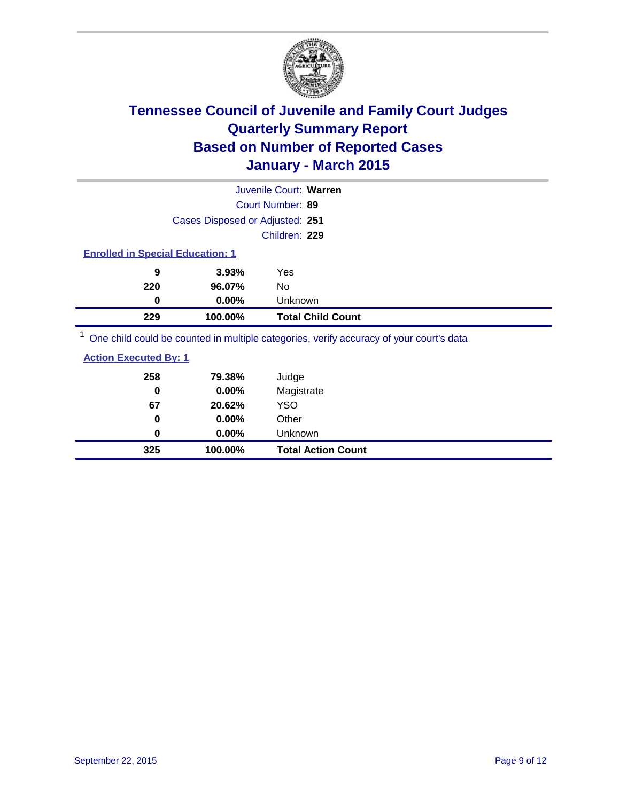

| Juvenile Court: Warren          |                                         |                |                                                                                                     |  |  |
|---------------------------------|-----------------------------------------|----------------|-----------------------------------------------------------------------------------------------------|--|--|
| Court Number: 89                |                                         |                |                                                                                                     |  |  |
| Cases Disposed or Adjusted: 251 |                                         |                |                                                                                                     |  |  |
|                                 |                                         | Children: 229  |                                                                                                     |  |  |
|                                 | <b>Enrolled in Special Education: 1</b> |                |                                                                                                     |  |  |
| 9                               | 3.93%                                   | Yes            |                                                                                                     |  |  |
| 220                             | 96.07%                                  | No             |                                                                                                     |  |  |
| 0                               | $0.00\%$                                | <b>Unknown</b> |                                                                                                     |  |  |
| 229                             | 100.00%                                 |                | <b>Total Child Count</b>                                                                            |  |  |
|                                 |                                         |                | $\frac{1}{2}$ One obild equid be counted in multiple estegation verify conveny of your courtle data |  |  |

<sup>1</sup> One child could be counted in multiple categories, verify accuracy of your court's data

| 325                          | 100.00% | <b>Total Action Count</b> |
|------------------------------|---------|---------------------------|
| 0                            | 0.00%   | Unknown                   |
| 0                            | 0.00%   | Other                     |
| 67                           | 20.62%  | <b>YSO</b>                |
| 0                            | 0.00%   | Magistrate                |
| 258                          | 79.38%  | Judge                     |
| <b>Action Executed By: 1</b> |         |                           |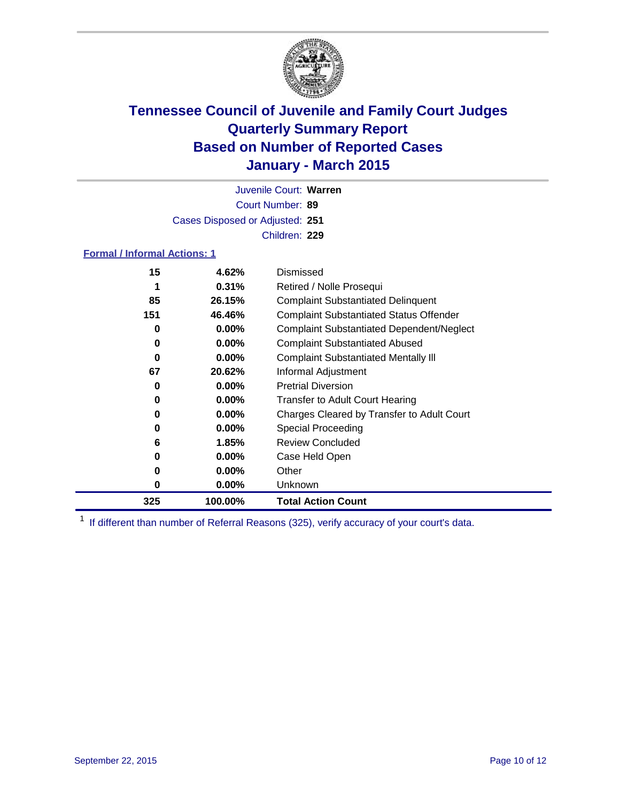

Court Number: **89** Juvenile Court: **Warren** Cases Disposed or Adjusted: **251** Children: **229**

### **Formal / Informal Actions: 1**

| 15  | 4.62%    | Dismissed                                        |
|-----|----------|--------------------------------------------------|
|     | 0.31%    | Retired / Nolle Prosequi                         |
| 85  | 26.15%   | <b>Complaint Substantiated Delinquent</b>        |
| 151 | 46.46%   | <b>Complaint Substantiated Status Offender</b>   |
| 0   | $0.00\%$ | <b>Complaint Substantiated Dependent/Neglect</b> |
| 0   | $0.00\%$ | <b>Complaint Substantiated Abused</b>            |
| 0   | $0.00\%$ | <b>Complaint Substantiated Mentally III</b>      |
| 67  | 20.62%   | Informal Adjustment                              |
| 0   | $0.00\%$ | <b>Pretrial Diversion</b>                        |
| 0   | $0.00\%$ | <b>Transfer to Adult Court Hearing</b>           |
| 0   | $0.00\%$ | Charges Cleared by Transfer to Adult Court       |
| 0   | $0.00\%$ | Special Proceeding                               |
| 6   | 1.85%    | <b>Review Concluded</b>                          |
| 0   | $0.00\%$ | Case Held Open                                   |
| 0   | $0.00\%$ | Other                                            |
| 0   | $0.00\%$ | Unknown                                          |
| 325 | 100.00%  | <b>Total Action Count</b>                        |

<sup>1</sup> If different than number of Referral Reasons (325), verify accuracy of your court's data.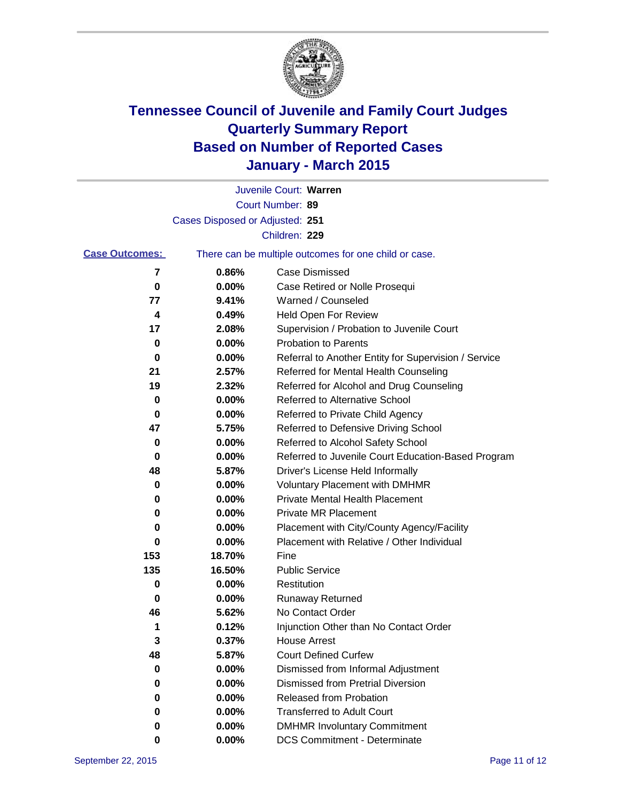

|                       |                                 | Juvenile Court: Warren                                |
|-----------------------|---------------------------------|-------------------------------------------------------|
|                       |                                 | Court Number: 89                                      |
|                       | Cases Disposed or Adjusted: 251 |                                                       |
|                       |                                 | Children: 229                                         |
| <b>Case Outcomes:</b> |                                 | There can be multiple outcomes for one child or case. |
| 7                     | 0.86%                           | Case Dismissed                                        |
| 0                     | 0.00%                           | Case Retired or Nolle Prosequi                        |
| 77                    | 9.41%                           | Warned / Counseled                                    |
| 4                     | 0.49%                           | <b>Held Open For Review</b>                           |
| 17                    | 2.08%                           | Supervision / Probation to Juvenile Court             |
| 0                     | 0.00%                           | <b>Probation to Parents</b>                           |
| 0                     | 0.00%                           | Referral to Another Entity for Supervision / Service  |
| 21                    | 2.57%                           | Referred for Mental Health Counseling                 |
| 19                    | 2.32%                           | Referred for Alcohol and Drug Counseling              |
| 0                     | 0.00%                           | <b>Referred to Alternative School</b>                 |
| 0                     | 0.00%                           | Referred to Private Child Agency                      |
| 47                    | 5.75%                           | Referred to Defensive Driving School                  |
| 0                     | 0.00%                           | Referred to Alcohol Safety School                     |
| 0                     | 0.00%                           | Referred to Juvenile Court Education-Based Program    |
| 48                    | 5.87%                           | Driver's License Held Informally                      |
| 0                     | 0.00%                           | <b>Voluntary Placement with DMHMR</b>                 |
| 0                     | 0.00%                           | <b>Private Mental Health Placement</b>                |
| 0                     | 0.00%                           | <b>Private MR Placement</b>                           |
| 0                     | 0.00%                           | Placement with City/County Agency/Facility            |
| 0                     | 0.00%                           | Placement with Relative / Other Individual            |
| 153                   | 18.70%                          | Fine                                                  |
| 135                   | 16.50%                          | <b>Public Service</b>                                 |
| 0                     | 0.00%                           | Restitution                                           |
| 0                     | 0.00%                           | <b>Runaway Returned</b>                               |
| 46                    | 5.62%                           | No Contact Order                                      |
| 1                     | 0.12%                           | Injunction Other than No Contact Order                |
| 3                     | 0.37%                           | <b>House Arrest</b>                                   |
| 48                    | 5.87%                           | <b>Court Defined Curfew</b>                           |
| 0                     | 0.00%                           | Dismissed from Informal Adjustment                    |
| 0                     | 0.00%                           | <b>Dismissed from Pretrial Diversion</b>              |
| 0                     | 0.00%                           | Released from Probation                               |
| 0                     | 0.00%                           | <b>Transferred to Adult Court</b>                     |
| 0                     | 0.00%                           | <b>DMHMR Involuntary Commitment</b>                   |
| 0                     | $0.00\%$                        | <b>DCS Commitment - Determinate</b>                   |